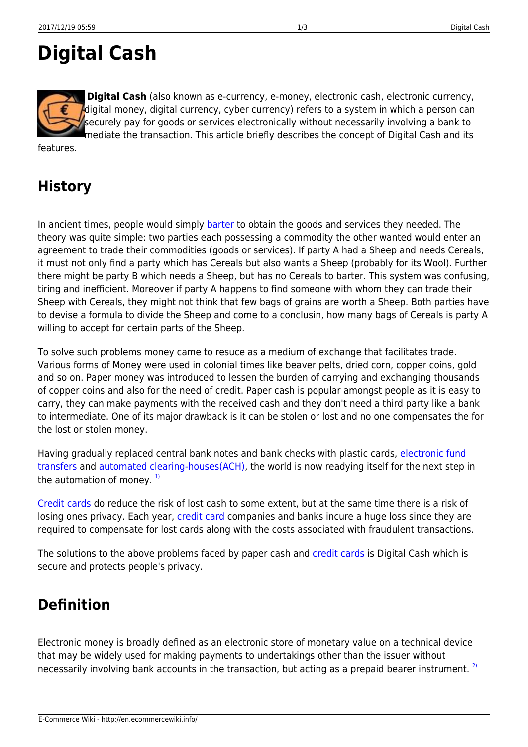# **Digital Cash**

**Digital Cash** (also known as e-currency, e-money, electronic cash, electronic currency, digital money, digital currency, cyber currency) refers to a system in which a person can securely pay for goods or services electronically without necessarily involving a bank to mediate the transaction. This article briefly describes the concept of Digital Cash and its

features.

### **History**

In ancient times, people would simply [barter](http://en.ecommercewiki.info/glossary/b/barter) to obtain the goods and services they needed. The theory was quite simple: two parties each possessing a commodity the other wanted would enter an agreement to trade their commodities (goods or services). If party A had a Sheep and needs Cereals, it must not only find a party which has Cereals but also wants a Sheep (probably for its Wool). Further there might be party B which needs a Sheep, but has no Cereals to barter. This system was confusing, tiring and inefficient. Moreover if party A happens to find someone with whom they can trade their Sheep with Cereals, they might not think that few bags of grains are worth a Sheep. Both parties have to devise a formula to divide the Sheep and come to a conclusin, how many bags of Cereals is party A willing to accept for certain parts of the Sheep.

To solve such problems money came to resuce as a medium of exchange that facilitates trade. Various forms of Money were used in colonial times like beaver pelts, dried corn, copper coins, gold and so on. Paper money was introduced to lessen the burden of carrying and exchanging thousands of copper coins and also for the need of credit. Paper cash is popular amongst people as it is easy to carry, they can make payments with the received cash and they don't need a third party like a bank to intermediate. One of its major drawback is it can be stolen or lost and no one compensates the for the lost or stolen money.

Having gradually replaced central bank notes and bank checks with plastic cards, [electronic fund](http://en.ecommercewiki.info/payment/electronic_options/electronic_fund_transfers) [transfers](http://en.ecommercewiki.info/payment/electronic_options/electronic_fund_transfers) and [automated clearing-houses\(ACH\)](http://en.ecommercewiki.info/payment/electronic_options/automated_clearing-houses_ach), the world is now readying itself for the next step in the automation of money.  $1$ 

[Credit cards](http://en.ecommercewiki.info/payment/classic_options#credit_card) do reduce the risk of lost cash to some extent, but at the same time there is a risk of losing ones privacy. Each year, [credit card](http://en.ecommercewiki.info/payment/classic_options#credit_card) companies and banks incure a huge loss since they are required to compensate for lost cards along with the costs associated with fraudulent transactions.

The solutions to the above problems faced by paper cash and [credit cards](http://en.ecommercewiki.info/payment/classic_options#credit_card) is Digital Cash which is secure and protects people's privacy.

### **Definition**

Electronic money is broadly defined as an electronic store of monetary value on a technical device that may be widely used for making payments to undertakings other than the issuer without necessarily involving bank accounts in the transaction, but acting as a prepaid bearer instrument.<sup>[2\)](#page--1-0)</sup>

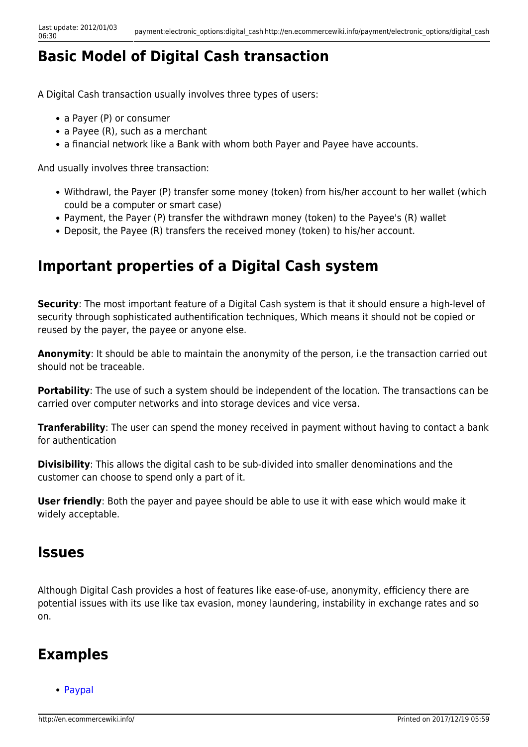### **Basic Model of Digital Cash transaction**

A Digital Cash transaction usually involves three types of users:

- a Payer (P) or consumer
- a Payee (R), such as a merchant
- a financial network like a Bank with whom both Payer and Payee have accounts.

And usually involves three transaction:

- Withdrawl, the Payer (P) transfer some money (token) from his/her account to her wallet (which could be a computer or smart case)
- Payment, the Payer (P) transfer the withdrawn money (token) to the Payee's (R) wallet
- Deposit, the Payee (R) transfers the received money (token) to his/her account.

### **Important properties of a Digital Cash system**

**Security**: The most important feature of a Digital Cash system is that it should ensure a high-level of security through sophisticated authentification techniques, Which means it should not be copied or reused by the payer, the payee or anyone else.

**Anonymity**: It should be able to maintain the anonymity of the person, i.e the transaction carried out should not be traceable.

**Portability**: The use of such a system should be independent of the location. The transactions can be carried over computer networks and into storage devices and vice versa.

**Tranferability**: The user can spend the money received in payment without having to contact a bank for authentication

**Divisibility**: This allows the digital cash to be sub-divided into smaller denominations and the customer can choose to spend only a part of it.

**User friendly**: Both the payer and payee should be able to use it with ease which would make it widely acceptable.

#### **Issues**

Although Digital Cash provides a host of features like ease-of-use, anonymity, efficiency there are potential issues with its use like tax evasion, money laundering, instability in exchange rates and so on.

#### **Examples**

• [Paypal](http://en.ecommercewiki.info/payment/electronic_options/paypal)